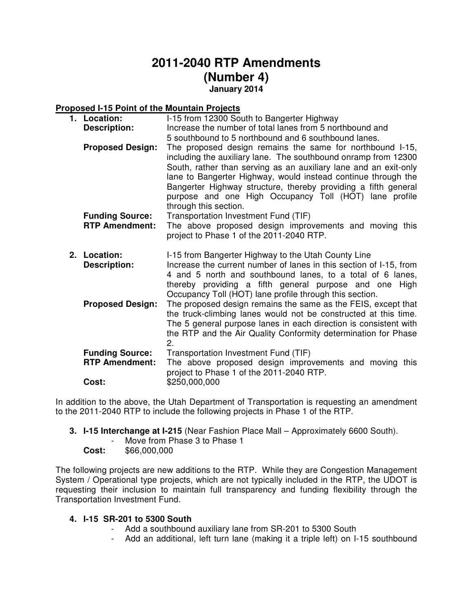# **2011-2040 RTP Amendments (Number 4) January 2014**

## **Proposed I-15 Point of the Mountain Projects**

| 1. Location:                                    | I-15 from 12300 South to Bangerter Highway                                                                                                                                                                                                                                                                                                                                                                            |
|-------------------------------------------------|-----------------------------------------------------------------------------------------------------------------------------------------------------------------------------------------------------------------------------------------------------------------------------------------------------------------------------------------------------------------------------------------------------------------------|
| <b>Description:</b>                             | Increase the number of total lanes from 5 northbound and                                                                                                                                                                                                                                                                                                                                                              |
|                                                 | 5 southbound to 5 northbound and 6 southbound lanes.                                                                                                                                                                                                                                                                                                                                                                  |
| <b>Proposed Design:</b>                         | The proposed design remains the same for northbound I-15,<br>including the auxiliary lane. The southbound onramp from 12300<br>South, rather than serving as an auxiliary lane and an exit-only<br>lane to Bangerter Highway, would instead continue through the<br>Bangerter Highway structure, thereby providing a fifth general<br>purpose and one High Occupancy Toll (HOT) lane profile<br>through this section. |
| <b>Funding Source:</b><br><b>RTP Amendment:</b> | Transportation Investment Fund (TIF)<br>The above proposed design improvements and moving this<br>project to Phase 1 of the 2011-2040 RTP.                                                                                                                                                                                                                                                                            |
| 2. Location:<br><b>Description:</b>             | I-15 from Bangerter Highway to the Utah County Line<br>Increase the current number of lanes in this section of I-15, from<br>4 and 5 north and southbound lanes, to a total of 6 lanes,<br>thereby providing a fifth general purpose and one High<br>Occupancy Toll (HOT) lane profile through this section.                                                                                                          |
| <b>Proposed Design:</b>                         | The proposed design remains the same as the FEIS, except that<br>the truck-climbing lanes would not be constructed at this time.<br>The 5 general purpose lanes in each direction is consistent with<br>the RTP and the Air Quality Conformity determination for Phase<br>2.                                                                                                                                          |
| <b>Funding Source:</b><br><b>RTP Amendment:</b> | Transportation Investment Fund (TIF)<br>The above proposed design improvements and moving this<br>project to Phase 1 of the 2011-2040 RTP.                                                                                                                                                                                                                                                                            |
| Cost:                                           | \$250,000,000                                                                                                                                                                                                                                                                                                                                                                                                         |

In addition to the above, the Utah Department of Transportation is requesting an amendment to the 2011-2040 RTP to include the following projects in Phase 1 of the RTP.

- **3. I-15 Interchange at I-215** (Near Fashion Place Mall Approximately 6600 South).
	- Move from Phase 3 to Phase 1
	- **Cost:** \$66,000,000

The following projects are new additions to the RTP. While they are Congestion Management System / Operational type projects, which are not typically included in the RTP, the UDOT is requesting their inclusion to maintain full transparency and funding flexibility through the Transportation Investment Fund.

#### **4. I-15 SR-201 to 5300 South**

- Add a southbound auxiliary lane from SR-201 to 5300 South
- Add an additional, left turn lane (making it a triple left) on I-15 southbound